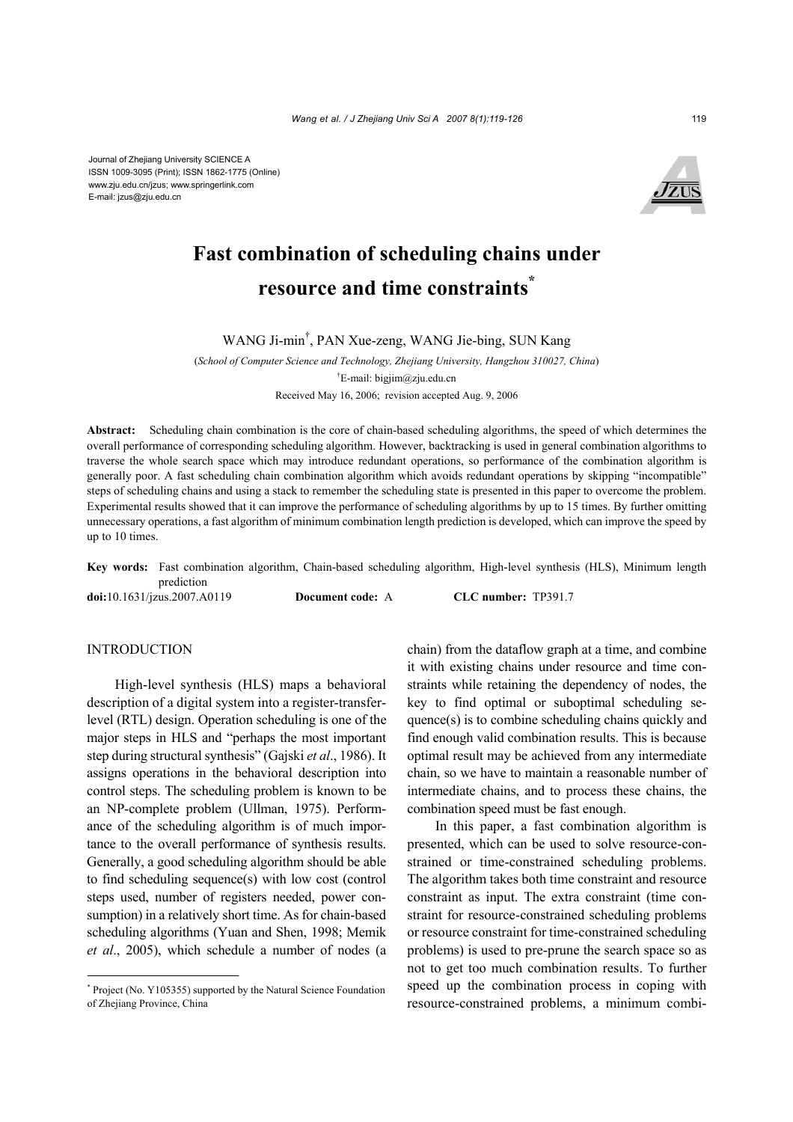Journal of Zhejiang University SCIENCE A ISSN 1009-3095 (Print); ISSN 1862-1775 (Online) www.zju.edu.cn/jzus; www.springerlink.com E-mail: jzus@zju.edu.cn



# **Fast combination of scheduling chains under resource and time constraints\***

WANG Ji-min† , PAN Xue-zeng, WANG Jie-bing, SUN Kang

(*School of Computer Science and Technology, Zhejiang University, Hangzhou 310027, China*) † E-mail: bigjim@zju.edu.cn Received May 16, 2006; revision accepted Aug. 9, 2006

**Abstract:** Scheduling chain combination is the core of chain-based scheduling algorithms, the speed of which determines the overall performance of corresponding scheduling algorithm. However, backtracking is used in general combination algorithms to traverse the whole search space which may introduce redundant operations, so performance of the combination algorithm is generally poor. A fast scheduling chain combination algorithm which avoids redundant operations by skipping "incompatible" steps of scheduling chains and using a stack to remember the scheduling state is presented in this paper to overcome the problem. Experimental results showed that it can improve the performance of scheduling algorithms by up to 15 times. By further omitting unnecessary operations, a fast algorithm of minimum combination length prediction is developed, which can improve the speed by up to 10 times.

**Key words:** Fast combination algorithm, Chain-based scheduling algorithm, High-level synthesis (HLS), Minimum length prediction **doi:**10.1631/jzus.2007.A0119 **Document code:** A **CLC number:** TP391.7

## INTRODUCTION

High-level synthesis (HLS) maps a behavioral description of a digital system into a register-transferlevel (RTL) design. Operation scheduling is one of the major steps in HLS and "perhaps the most important step during structural synthesis" (Gajski *et al*., 1986). It assigns operations in the behavioral description into control steps. The scheduling problem is known to be an NP-complete problem (Ullman, 1975). Performance of the scheduling algorithm is of much importance to the overall performance of synthesis results. Generally, a good scheduling algorithm should be able to find scheduling sequence(s) with low cost (control steps used, number of registers needed, power consumption) in a relatively short time. As for chain-based scheduling algorithms (Yuan and Shen, 1998; Memik *et al*., 2005), which schedule a number of nodes (a chain) from the dataflow graph at a time, and combine it with existing chains under resource and time constraints while retaining the dependency of nodes, the key to find optimal or suboptimal scheduling sequence(s) is to combine scheduling chains quickly and find enough valid combination results. This is because optimal result may be achieved from any intermediate chain, so we have to maintain a reasonable number of intermediate chains, and to process these chains, the combination speed must be fast enough.

In this paper, a fast combination algorithm is presented, which can be used to solve resource-constrained or time-constrained scheduling problems. The algorithm takes both time constraint and resource constraint as input. The extra constraint (time constraint for resource-constrained scheduling problems or resource constraint for time-constrained scheduling problems) is used to pre-prune the search space so as not to get too much combination results. To further speed up the combination process in coping with resource-constrained problems, a minimum combi-

<sup>\*</sup> Project (No. Y105355) supported by the Natural Science Foundation of Zhejiang Province, China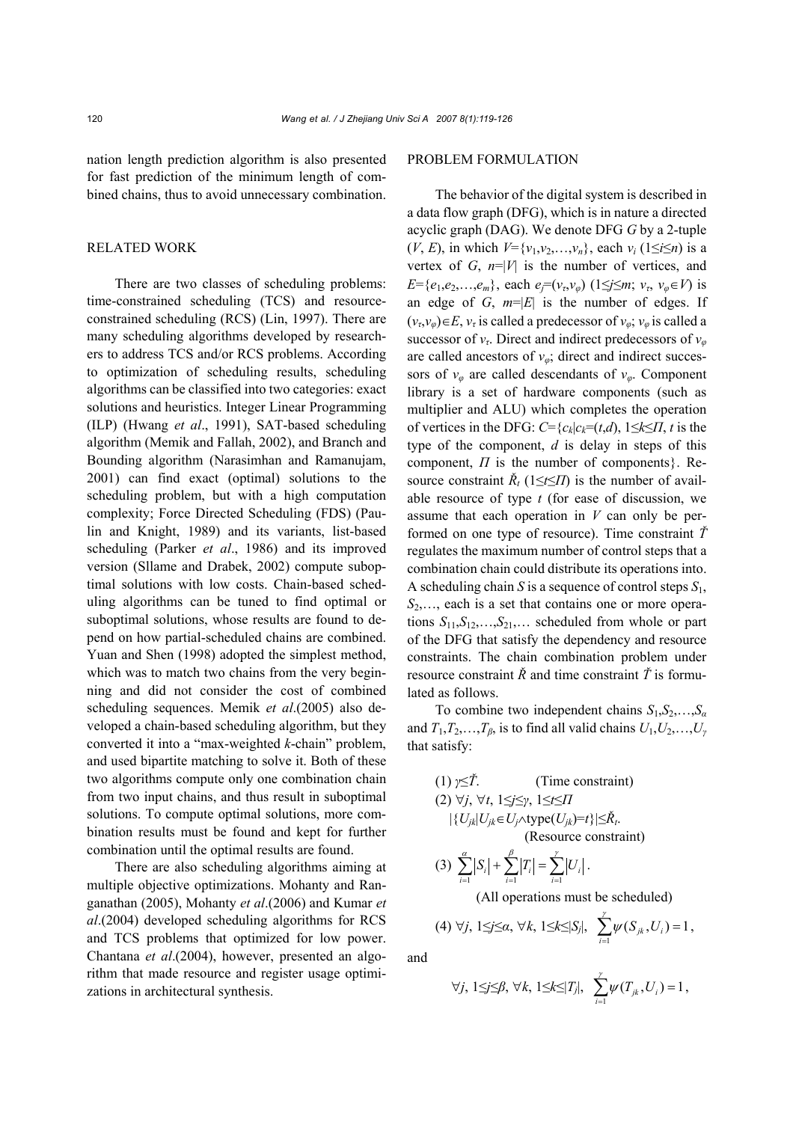nation length prediction algorithm is also presented for fast prediction of the minimum length of combined chains, thus to avoid unnecessary combination.

#### RELATED WORK

There are two classes of scheduling problems: time-constrained scheduling (TCS) and resourceconstrained scheduling (RCS) (Lin, 1997). There are many scheduling algorithms developed by researchers to address TCS and/or RCS problems. According to optimization of scheduling results, scheduling algorithms can be classified into two categories: exact solutions and heuristics. Integer Linear Programming (ILP) (Hwang *et al*., 1991), SAT-based scheduling algorithm (Memik and Fallah, 2002), and Branch and Bounding algorithm (Narasimhan and Ramanujam, 2001) can find exact (optimal) solutions to the scheduling problem, but with a high computation complexity; Force Directed Scheduling (FDS) (Paulin and Knight, 1989) and its variants, list-based scheduling (Parker *et al*., 1986) and its improved version (Sllame and Drabek, 2002) compute suboptimal solutions with low costs. Chain-based scheduling algorithms can be tuned to find optimal or suboptimal solutions, whose results are found to depend on how partial-scheduled chains are combined. Yuan and Shen (1998) adopted the simplest method, which was to match two chains from the very beginning and did not consider the cost of combined scheduling sequences. Memik *et al*.(2005) also developed a chain-based scheduling algorithm, but they converted it into a "max-weighted *k*-chain" problem, and used bipartite matching to solve it. Both of these two algorithms compute only one combination chain from two input chains, and thus result in suboptimal solutions. To compute optimal solutions, more combination results must be found and kept for further combination until the optimal results are found.

There are also scheduling algorithms aiming at multiple objective optimizations. Mohanty and Ranganathan (2005), Mohanty *et al*.(2006) and Kumar *et al*.(2004) developed scheduling algorithms for RCS and TCS problems that optimized for low power. Chantana *et al*.(2004), however, presented an algorithm that made resource and register usage optimizations in architectural synthesis.

#### PROBLEM FORMULATION

The behavior of the digital system is described in a data flow graph (DFG), which is in nature a directed acyclic graph (DAG). We denote DFG *G* by a 2-tuple (*V*, *E*), in which  $V = \{v_1, v_2, \ldots, v_n\}$ , each  $v_i$  ( $1 \le i \le n$ ) is a vertex of  $G$ ,  $n=|V|$  is the number of vertices, and *E*={*e*<sub>1</sub>,*e*<sub>2</sub>,…,*e<sub>m</sub>*}, each *e<sub>i</sub>*=(*v*<sub>*t*</sub>,*v*<sub>*@*</sub>) (1≤*j*≤*m*; *v*<sub>*t*</sub>, *v*<sub>*©*</sub>∈*V*) is an edge of  $G$ ,  $m=|E|$  is the number of edges. If  $(v_t, v_\varphi) \in E$ ,  $v_t$  is called a predecessor of  $v_\varphi$ ;  $v_\varphi$  is called a successor of  $v_t$ . Direct and indirect predecessors of  $v_\phi$ are called ancestors of  $v_{\varphi}$ ; direct and indirect successors of  $v_{\varphi}$  are called descendants of  $v_{\varphi}$ . Component library is a set of hardware components (such as multiplier and ALU) which completes the operation of vertices in the DFG:  $C = \{c_k | c_k = (t,d), 1 \le k \le \Pi, t \text{ is the } \}$ type of the component, *d* is delay in steps of this component, *Π* is the number of components}. Resource constraint  $\check{R}_t$  (1≤*t*≤*Π*) is the number of available resource of type *t* (for ease of discussion, we assume that each operation in *V* can only be performed on one type of resource). Time constraint *Ť* regulates the maximum number of control steps that a combination chain could distribute its operations into. A scheduling chain *S* is a sequence of control steps *S*1, *S*2,…, each is a set that contains one or more operations  $S_{11}, S_{12}, \ldots, S_{21}, \ldots$  scheduled from whole or part of the DFG that satisfy the dependency and resource constraints. The chain combination problem under resource constraint  $\check{R}$  and time constraint  $\check{T}$  is formulated as follows.

To combine two independent chains  $S_1, S_2, \ldots, S_a$ and  $T_1, T_2, \ldots, T_\beta$ , is to find all valid chains  $U_1, U_2, \ldots, U_\gamma$ that satisfy:

(1) 
$$
\gamma \leq \tilde{T}
$$
. (Time constraint)  
\n(2)  $\forall j$ ,  $\forall t$ ,  $1 \leq j \leq \gamma$ ,  $1 \leq t \leq \Pi$   
\n $|\{U_{jk}|U_{jk} \in U_j \land \text{type}(U_{jk})=t\}| \leq \tilde{R}_t$ .  
\n(Resource constraint)  
\n(3)  $\sum_{i=1}^{\alpha} |S_i| + \sum_{i=1}^{\beta} |T_i| = \sum_{i=1}^{\gamma} |U_i|$ .  
\n(All operations must be scheduled)

$$
(4) \ \forall j, \ 1 \leq j \leq \alpha, \ \forall k, \ 1 \leq k \leq |S_j|, \quad \sum_{i=1}^{\gamma} \psi(S_{jk}, U_i) = 1,
$$

*i* =

and

$$
\forall j, 1 \leq j \leq \beta, \forall k, 1 \leq k \leq |T_j|, \sum_{i=1}^{\gamma} \psi(T_{jk}, U_i) = 1,
$$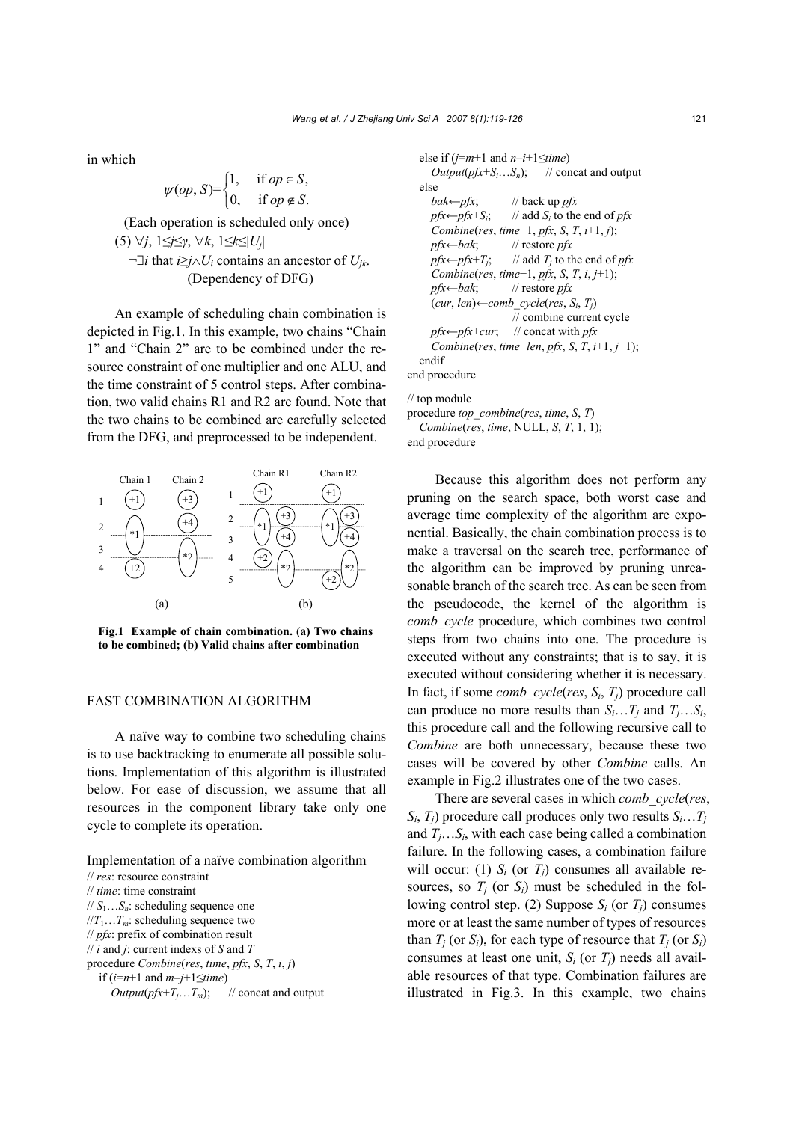in which

$$
\psi(op, S) = \begin{cases} 1, & \text{if } op \in S, \\ 0, & \text{if } op \notin S. \end{cases}
$$

(Each operation is scheduled only once) (5) ∀*j*, 1≤*j*≤*γ*, ∀*k*, 1≤*k*≤|*Uj*| ¬∃*i* that *i*≥*j*∧*Ui* contains an ancestor of *Ujk*. (Dependency of DFG)

An example of scheduling chain combination is depicted in Fig.1. In this example, two chains "Chain 1" and "Chain 2" are to be combined under the resource constraint of one multiplier and one ALU, and the time constraint of 5 control steps. After combination, two valid chains R1 and R2 are found. Note that the two chains to be combined are carefully selected from the DFG, and preprocessed to be independent.



**Fig.1 Example of chain combination. (a) Two chains to be combined; (b) Valid chains after combination**

## FAST COMBINATION ALGORITHM

A naïve way to combine two scheduling chains is to use backtracking to enumerate all possible solutions. Implementation of this algorithm is illustrated below. For ease of discussion, we assume that all resources in the component library take only one cycle to complete its operation.

Implementation of a naïve combination algorithm // *res*: resource constraint // *time*: time constraint  $// S_1...S_n$ : scheduling sequence one  $//T_1...T_m:$  scheduling sequence two // *pfx*: prefix of combination result // *i* and *j*: current indexs of *S* and *T* procedure *Combine*(*res*, *time*, *pfx*, *S*, *T*, *i*, *j*) if (*i*=*n*+1 and *m*–*j*+1≤*time*) *Output*( $pfx+T_j...T_m$ ); // concat and output

```
else if (j=m+1 and n–i+1≤time) 
     Output(pfx+S_i...S_n); // concat and output
  else 
     bak \leftarrow pfx; // back up pfxpfx \leftarrow pfx + S_i; // add S_i to the end of pfxCombine(res, time−1, pfx, S, T, i+1, j); 
     pfx←bak; // restore pfx
     pfx \leftarrow pfx + T_j; // add T_j to the end of pfxCombine(res, time−1, pfx, S, T, i, j+1); 
    pfx←bak; // restore pfx
     (cur, len)←comb_cycle(res, Si, Tj) 
                      // combine current cycle 
    pfx←pfx+cur; // concat with pfx
     Combine(res, time−len, pfx, S, T, i+1, j+1); 
  endif 
end procedure 
// top module 
procedure top_combine(res, time, S, T) 
  Combine(res, time, NULL, S, T, 1, 1);
```
end procedure

Because this algorithm does not perform any pruning on the search space, both worst case and average time complexity of the algorithm are exponential. Basically, the chain combination process is to make a traversal on the search tree, performance of the algorithm can be improved by pruning unreasonable branch of the search tree. As can be seen from the pseudocode, the kernel of the algorithm is *comb\_cycle* procedure, which combines two control steps from two chains into one. The procedure is executed without any constraints; that is to say, it is executed without considering whether it is necessary. In fact, if some *comb* cycle(*res*,  $S_i$ ,  $T_j$ ) procedure call can produce no more results than  $S_i$ … $T_i$  and  $T_i$ … $S_i$ , this procedure call and the following recursive call to *Combine* are both unnecessary, because these two cases will be covered by other *Combine* calls. An example in Fig.2 illustrates one of the two cases.

There are several cases in which *comb\_cycle*(*res*,  $S_i$ ,  $T_i$ ) procedure call produces only two results  $S_i$ ...  $T_i$ and  $T_i$ … $S_i$ , with each case being called a combination failure. In the following cases, a combination failure will occur: (1)  $S_i$  (or  $T_j$ ) consumes all available resources, so  $T_i$  (or  $S_i$ ) must be scheduled in the following control step. (2) Suppose  $S_i$  (or  $T_i$ ) consumes more or at least the same number of types of resources than  $T_i$  (or  $S_i$ ), for each type of resource that  $T_i$  (or  $S_i$ ) consumes at least one unit,  $S_i$  (or  $T_i$ ) needs all available resources of that type. Combination failures are illustrated in Fig.3. In this example, two chains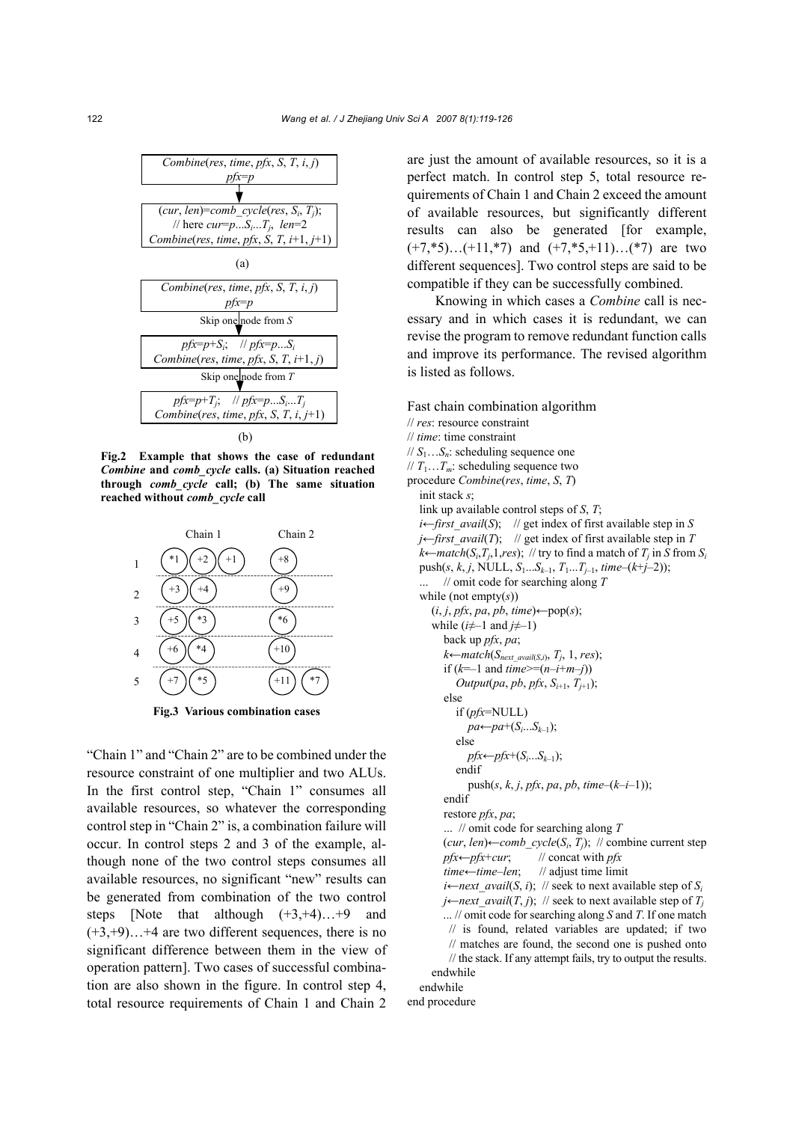

**Fig.2 Example that shows the case of redundant** *Combine* **and** *comb\_cycle* **calls. (a) Situation reached through** *comb\_cycle* **call; (b) The same situation reached without** *comb\_cycle* **call**



**Fig.3 Various combination cases**

"Chain 1" and "Chain 2" are to be combined under the resource constraint of one multiplier and two ALUs. In the first control step, "Chain 1" consumes all available resources, so whatever the corresponding control step in "Chain 2" is, a combination failure will occur. In control steps 2 and 3 of the example, although none of the two control steps consumes all available resources, no significant "new" results can be generated from combination of the two control steps [Note that although  $(+3, +4)$ ...+9 and  $(+3, +9)$ ... +4 are two different sequences, there is no significant difference between them in the view of operation pattern]. Two cases of successful combination are also shown in the figure. In control step 4, total resource requirements of Chain 1 and Chain 2 are just the amount of available resources, so it is a perfect match. In control step 5, total resource requirements of Chain 1 and Chain 2 exceed the amount of available resources, but significantly different results can also be generated [for example,  $(+7, *5)...(+11, *7)$  and  $(+7, *5, +11)...(*7)$  are two different sequences]. Two control steps are said to be compatible if they can be successfully combined.

Knowing in which cases a *Combine* call is necessary and in which cases it is redundant, we can revise the program to remove redundant function calls and improve its performance. The revised algorithm is listed as follows.

Fast chain combination algorithm // *res*: resource constraint // *time*: time constraint  $// S_1...S_n$ : scheduling sequence one //  $T_1 \ldots T_m$ : scheduling sequence two procedure *Combine*(*res*, *time*, *S*, *T*) init stack *s*; link up available control steps of *S*, *T*; *i*←*first avail*(*S*); // get index of first available step in *S j*←*first avail*(*T*); // get index of first available step in *T*  $k \leftarrow match(S_i, T_i, 1, res);$  // try to find a match of  $T_i$  in *S* from  $S_i$ push(*s*, *k*, *j*, NULL, *S*<sub>1</sub>...*S*<sub>*k*-1</sub>, *T*<sub>1</sub>...*T*<sub>*i*-1</sub>, *time*–(*k*+*j*-2)); // omit code for searching along *T*  while (not empty(*s*))  $(i, j, pfx, pa, pb, time) \leftarrow pop(s);$ while  $(i \neq -1$  and  $j \neq -1$ ) back up *pfx*, *pa*; *k*←*match*( $S_{next\_available}(S,i)$ ,  $T_j$ , 1, *res*); if  $(k=-1$  and  $time \geq -(n-i+m-j)$ *Output*(*pa*, *pb*, *pfx*,  $S_{i+1}$ ,  $T_{i+1}$ ); else if (*pfx*=NULL)  $pa \leftarrow pa+(S_i...S_{k-1});$  else  $pfx \leftarrow pfx + (S_i...S_{k-1});$  endif push(*s*, *k*, *j*, *pfx*, *pa*, *pb*, *time*–(*k*–*i*–1)); endif restore *pfx*, *pa*; ... // omit code for searching along *T*  $(cur, len) ← comb cycle(S<sub>i</sub>, T<sub>i</sub>);$  // combine current step *pfx*←*pfx*+*cur*; // concat with *pfx time*←*time*–*len*; // adjust time limit *i*←*next avail*(*S*, *i*); // seek to next available step of *S<sub>i</sub> j*← $next$  *avail*(*T*, *j*); // seek to next available step of *T<sub>i</sub>*  ... // omit code for searching along *S* and *T*. If one match // is found, related variables are updated; if two // matches are found, the second one is pushed onto // the stack. If any attempt fails, try to output the results. endwhile endwhile end procedure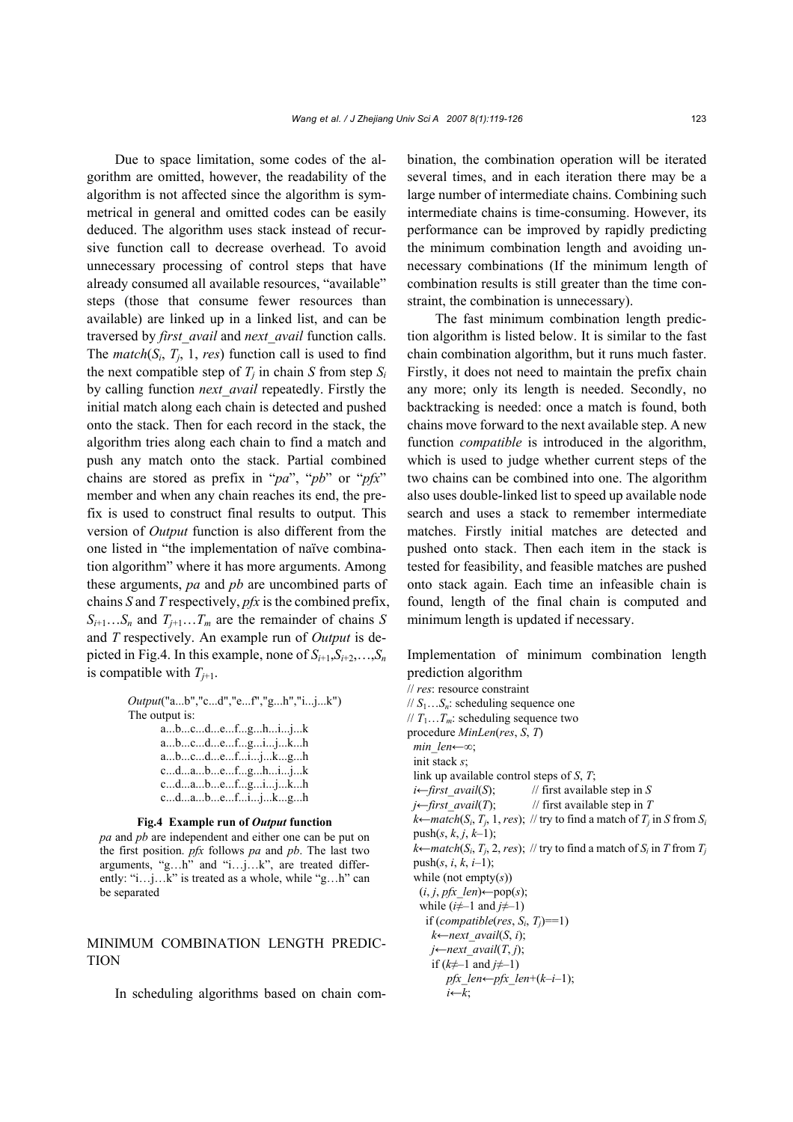Due to space limitation, some codes of the algorithm are omitted, however, the readability of the algorithm is not affected since the algorithm is symmetrical in general and omitted codes can be easily deduced. The algorithm uses stack instead of recursive function call to decrease overhead. To avoid unnecessary processing of control steps that have already consumed all available resources, "available" steps (those that consume fewer resources than available) are linked up in a linked list, and can be traversed by *first\_avail* and *next\_avail* function calls. The *match*( $S_i$ ,  $T_j$ , 1, *res*) function call is used to find the next compatible step of  $T_i$  in chain *S* from step  $S_i$ by calling function *next\_avail* repeatedly. Firstly the initial match along each chain is detected and pushed onto the stack. Then for each record in the stack, the algorithm tries along each chain to find a match and push any match onto the stack. Partial combined chains are stored as prefix in "*pa*", "*pb*" or "*pfx*" member and when any chain reaches its end, the prefix is used to construct final results to output. This version of *Output* function is also different from the one listed in "the implementation of naïve combination algorithm" where it has more arguments. Among these arguments, *pa* and *pb* are uncombined parts of chains *S* and *T* respectively, *pfx* is the combined prefix,  $S_{i+1}$ . *S<sub>n</sub>* and  $T_{i+1}$ *. . T<sub>m</sub>* are the remainder of chains *S* and *T* respectively. An example run of *Output* is depicted in Fig.4. In this example, none of  $S_{i+1}, S_{i+2}, \ldots, S_n$ is compatible with  $T_{i+1}$ .

```
Output("a...b","c...d","e...f","g...h","i...j...k") 
The output is: 
         a...b...c...d...e...f...g...h...i...j...k 
         a...b...c...d...e...f...g...i...j...k...h 
        a...b...c...d...e...f...i...j...k...g...h 
         c...d...a...b...e...f...g...h...i...j...k 
        c...d...a...b...e...f...g...i...j...k...h 
        c...d...a...b...e...f...i...j...k...g...h
```
#### **Fig.4 Example run of** *Output* **function**

*pa* and *pb* are independent and either one can be put on the first position. *pfx* follows *pa* and *pb*. The last two arguments, "g…h" and "i…j…k", are treated differently: "i…j…k" is treated as a whole, while "g…h" can be separated

## MINIMUM COMBINATION LENGTH PREDIC-**TION**

In scheduling algorithms based on chain com-

bination, the combination operation will be iterated several times, and in each iteration there may be a large number of intermediate chains. Combining such intermediate chains is time-consuming. However, its performance can be improved by rapidly predicting the minimum combination length and avoiding unnecessary combinations (If the minimum length of combination results is still greater than the time constraint, the combination is unnecessary).

The fast minimum combination length prediction algorithm is listed below. It is similar to the fast chain combination algorithm, but it runs much faster. Firstly, it does not need to maintain the prefix chain any more; only its length is needed. Secondly, no backtracking is needed: once a match is found, both chains move forward to the next available step. A new function *compatible* is introduced in the algorithm, which is used to judge whether current steps of the two chains can be combined into one. The algorithm also uses double-linked list to speed up available node search and uses a stack to remember intermediate matches. Firstly initial matches are detected and pushed onto stack. Then each item in the stack is tested for feasibility, and feasible matches are pushed onto stack again. Each time an infeasible chain is found, length of the final chain is computed and minimum length is updated if necessary.

Implementation of minimum combination length prediction algorithm

// *res*: resource constraint  $// S_1...S_n$ : scheduling sequence one  $// T_1...T_m:$  scheduling sequence two procedure *MinLen*(*res*, *S*, *T*) *min\_len*←∞; init stack *s*; link up available control steps of *S*, *T*;  *i*←*first\_avail*(*S*); // first available step in *S j*←*first avail*(*T*); // first available step in *T*  $k \leftarrow match(S_i, T_j, 1, res);$  // try to find a match of  $T_j$  in *S* from  $S_i$ push $(s, k, j, k-1)$ ;  $k \leftarrow match(S_i, T_i, 2, res);$  // try to find a match of  $S_i$  in *T* from  $T_i$ push $(s, i, k, i-1)$ ; while (not empty(*s*))  $(i, j, pfx len) \leftarrow pop(s);$ while  $(i \neq -1$  and  $j \neq -1$ ) if  $(compatible(res, S_i, T_i)=1)$  $k \leftarrow$ *next\_avail*( $S$ , *i*); *j*← $next$  *avail*( $T$ , *j*); if ( $k≠-1$  and  $j≠-1$ ) *pfx\_len*← $pfx$  *len*+ $(k-i-1)$ ; *i*←*k*;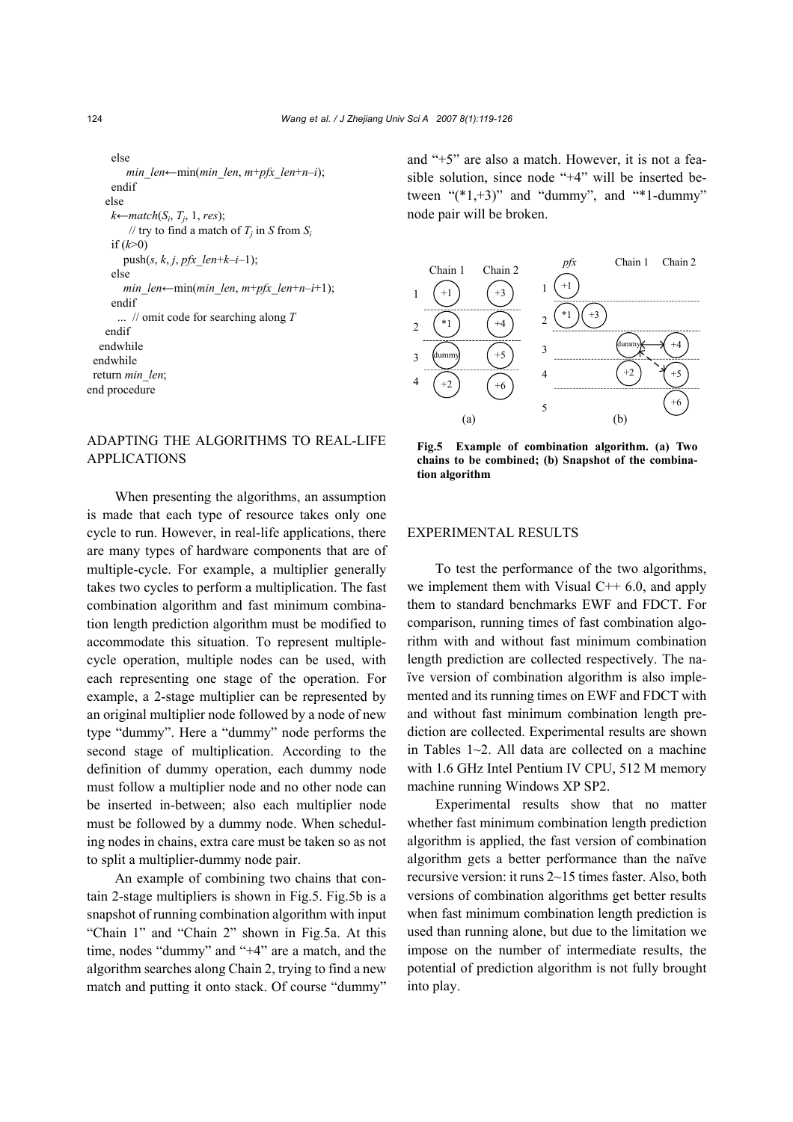```
 else 
          min_len←min(min_len, m+pfx_len+n–i); 
      endif 
     else 
     k \leftarrow match(S_i, T_i, 1, res);// try to find a match of T_i in S from S_i if (k>0) 
         push(s, k, j, pfx_len+k–i–1); 
      else 
        min len\leftarrowmin(min len, m+pfx len+n–i+1);
      endif 
        ... // omit code for searching along T
     endif 
   endwhile 
  endwhile 
  return min_len; 
end procedure
```
## ADAPTING THE ALGORITHMS TO REAL-LIFE APPLICATIONS

When presenting the algorithms, an assumption is made that each type of resource takes only one cycle to run. However, in real-life applications, there are many types of hardware components that are of multiple-cycle. For example, a multiplier generally takes two cycles to perform a multiplication. The fast combination algorithm and fast minimum combination length prediction algorithm must be modified to accommodate this situation. To represent multiplecycle operation, multiple nodes can be used, with each representing one stage of the operation. For example, a 2-stage multiplier can be represented by an original multiplier node followed by a node of new type "dummy". Here a "dummy" node performs the second stage of multiplication. According to the definition of dummy operation, each dummy node must follow a multiplier node and no other node can be inserted in-between; also each multiplier node must be followed by a dummy node. When scheduling nodes in chains, extra care must be taken so as not to split a multiplier-dummy node pair.

An example of combining two chains that contain 2-stage multipliers is shown in Fig.5. Fig.5b is a snapshot of running combination algorithm with input "Chain 1" and "Chain 2" shown in Fig.5a. At this time, nodes "dummy" and "+4" are a match, and the algorithm searches along Chain 2, trying to find a new match and putting it onto stack. Of course "dummy" and "+5" are also a match. However, it is not a feasible solution, since node "+4" will be inserted between " $(*1, +3)$ " and "dummy", and " $*1$ -dummy" node pair will be broken.



**Fig.5 Example of combination algorithm. (a) Two chains to be combined; (b) Snapshot of the combination algorithm**

## EXPERIMENTAL RESULTS

To test the performance of the two algorithms, we implement them with Visual  $C++ 6.0$ , and apply them to standard benchmarks EWF and FDCT. For comparison, running times of fast combination algorithm with and without fast minimum combination length prediction are collected respectively. The naïve version of combination algorithm is also implemented and its running times on EWF and FDCT with and without fast minimum combination length prediction are collected. Experimental results are shown in Tables 1~2. All data are collected on a machine with 1.6 GHz Intel Pentium IV CPU, 512 M memory machine running Windows XP SP2.

Experimental results show that no matter whether fast minimum combination length prediction algorithm is applied, the fast version of combination algorithm gets a better performance than the naïve recursive version: it runs 2~15 times faster. Also, both versions of combination algorithms get better results when fast minimum combination length prediction is used than running alone, but due to the limitation we impose on the number of intermediate results, the potential of prediction algorithm is not fully brought into play.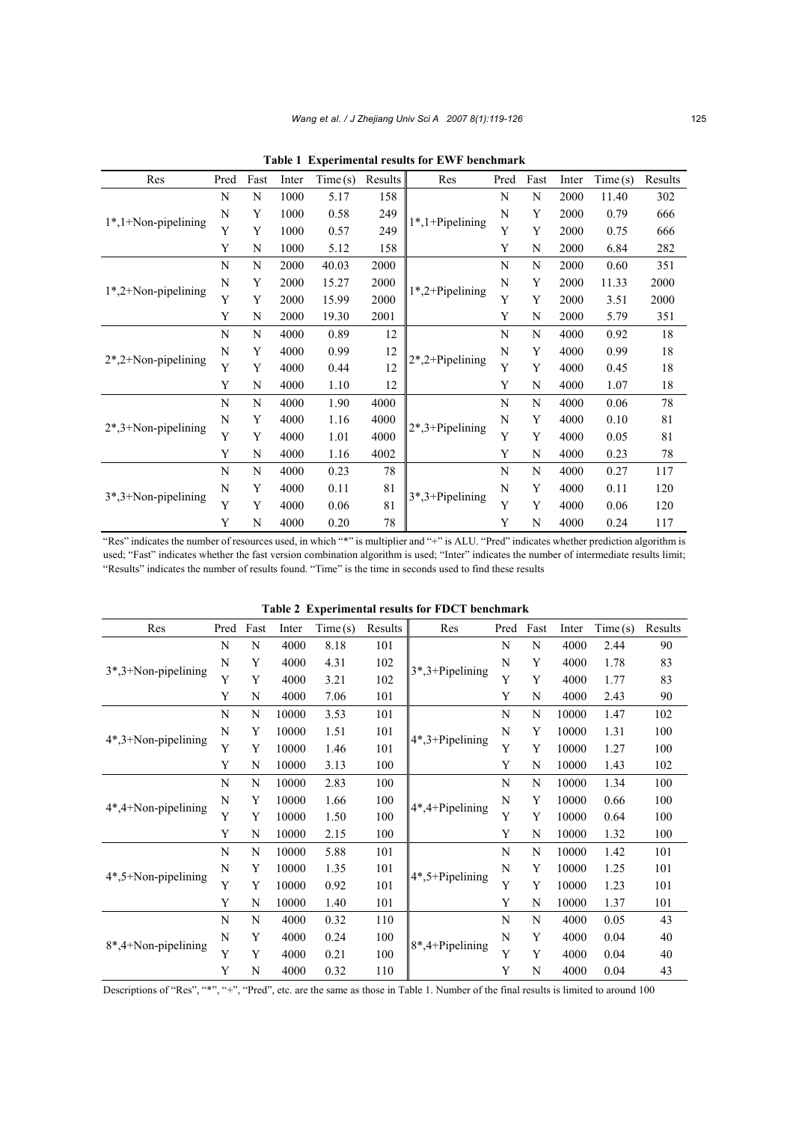| Res                 | Pred | Fast | Inter | Time(s) | Results | Res               | Pred | Fast | Inter | Time(s) | Results |
|---------------------|------|------|-------|---------|---------|-------------------|------|------|-------|---------|---------|
| 1*,1+Non-pipelining | N    | N    | 1000  | 5.17    | 158     | 1*,1+Pipelining   | N    | N    | 2000  | 11.40   | 302     |
|                     | N    | Y    | 1000  | 0.58    | 249     |                   | N    | Y    | 2000  | 0.79    | 666     |
|                     | Y    | Y    | 1000  | 0.57    | 249     |                   | Y    | Y    | 2000  | 0.75    | 666     |
|                     | Y    | N    | 1000  | 5.12    | 158     |                   | Y    | N    | 2000  | 6.84    | 282     |
| 1*,2+Non-pipelining | N    | N    | 2000  | 40.03   | 2000    | $1*,2+Pipelining$ | N    | N    | 2000  | 0.60    | 351     |
|                     | N    | Y    | 2000  | 15.27   | 2000    |                   | N    | Y    | 2000  | 11.33   | 2000    |
|                     | Y    | Y    | 2000  | 15.99   | 2000    |                   | Y    | Y    | 2000  | 3.51    | 2000    |
|                     | Y    | N    | 2000  | 19.30   | 2001    |                   | Y    | N    | 2000  | 5.79    | 351     |
| 2*,2+Non-pipelining | N    | N    | 4000  | 0.89    | 12      | $2*,2+Pipelining$ | N    | N    | 4000  | 0.92    | 18      |
|                     | N    | Y    | 4000  | 0.99    | 12      |                   | N    | Y    | 4000  | 0.99    | 18      |
|                     | Y    | Y    | 4000  | 0.44    | 12      |                   | Y    | Y    | 4000  | 0.45    | 18      |
|                     | Y    | N    | 4000  | 1.10    | 12      |                   | Y    | N    | 4000  | 1.07    | 18      |
| 2*,3+Non-pipelining | N    | N    | 4000  | 1.90    | 4000    | $2*,3+Pipelining$ | N    | N    | 4000  | 0.06    | 78      |
|                     | N    | Y    | 4000  | 1.16    | 4000    |                   | N    | Y    | 4000  | 0.10    | 81      |
|                     | Y    | Y    | 4000  | 1.01    | 4000    |                   | Y    | Y    | 4000  | 0.05    | 81      |
|                     | Y    | N    | 4000  | 1.16    | 4002    |                   | Y    | N    | 4000  | 0.23    | 78      |
| 3*,3+Non-pipelining | N    | N    | 4000  | 0.23    | 78      | 3*,3+Pipelining   | N    | N    | 4000  | 0.27    | 117     |
|                     | N    | Y    | 4000  | 0.11    | 81      |                   | N    | Y    | 4000  | 0.11    | 120     |
|                     | Y    | Y    | 4000  | 0.06    | 81      |                   | Y    | Y    | 4000  | 0.06    | 120     |
|                     | Y    | N    | 4000  | 0.20    | 78      |                   | Y    | N    | 4000  | 0.24    | 117     |

**Table 1 Experimental results for EWF benchmark** 

"Res" indicates the number of resources used, in which "\*" is multiplier and "+" is ALU. "Pred" indicates whether prediction algorithm is used; "Fast" indicates whether the fast version combination algorithm is used; "Inter" indicates the number of intermediate results limit; "Results" indicates the number of results found. "Time" is the time in seconds used to find these results

| Table 2 Experimental results for PDCT benefitiary |      |      |       |         |         |                   |      |      |       |         |         |
|---------------------------------------------------|------|------|-------|---------|---------|-------------------|------|------|-------|---------|---------|
| Res                                               | Pred | Fast | Inter | Time(s) | Results | Res               | Pred | Fast | Inter | Time(s) | Results |
| 3*,3+Non-pipelining                               | N    | N    | 4000  | 8.18    | 101     | $3*,3+Pipelining$ | N    | N    | 4000  | 2.44    | 90      |
|                                                   | N    | Y    | 4000  | 4.31    | 102     |                   | N    | Y    | 4000  | 1.78    | 83      |
|                                                   | Y    | Y    | 4000  | 3.21    | 102     |                   | Y    | Y    | 4000  | 1.77    | 83      |
|                                                   | Y    | N    | 4000  | 7.06    | 101     |                   | Y    | N    | 4000  | 2.43    | 90      |
| $4*,3+Non-pipelining$                             | N    | N    | 10000 | 3.53    | 101     | $4*,3+Pipelining$ | N    | N    | 10000 | 1.47    | 102     |
|                                                   | N    | Y    | 10000 | 1.51    | 101     |                   | N    | Y    | 10000 | 1.31    | 100     |
|                                                   | Y    | Y    | 10000 | 1.46    | 101     |                   | Y    | Y    | 10000 | 1.27    | 100     |
|                                                   | Y    | N    | 10000 | 3.13    | 100     |                   | Y    | N    | 10000 | 1.43    | 102     |
| 4*,4+Non-pipelining                               | N    | N    | 10000 | 2.83    | 100     | 4*,4+Pipelining   | N    | N    | 10000 | 1.34    | 100     |
|                                                   | N    | Y    | 10000 | 1.66    | 100     |                   | N    | Y    | 10000 | 0.66    | 100     |
|                                                   | Y    | Y    | 10000 | 1.50    | 100     |                   | Y    | Y    | 10000 | 0.64    | 100     |
|                                                   | Y    | N    | 10000 | 2.15    | 100     |                   | Y    | N    | 10000 | 1.32    | 100     |
| 4*,5+Non-pipelining                               | N    | N    | 10000 | 5.88    | 101     | 4*,5+Pipelining   | N    | N    | 10000 | 1.42    | 101     |
|                                                   | N    | Y    | 10000 | 1.35    | 101     |                   | N    | Y    | 10000 | 1.25    | 101     |
|                                                   | Y    | Y    | 10000 | 0.92    | 101     |                   | Y    | Y    | 10000 | 1.23    | 101     |
|                                                   | Y    | N    | 10000 | 1.40    | 101     |                   | Y    | N    | 10000 | 1.37    | 101     |
| 8*,4+Non-pipelining                               | N    | N    | 4000  | 0.32    | 110     | 8*,4+Pipelining   | N    | N    | 4000  | 0.05    | 43      |
|                                                   | N    | Y    | 4000  | 0.24    | 100     |                   | N    | Y    | 4000  | 0.04    | 40      |
|                                                   | Y    | Y    | 4000  | 0.21    | 100     |                   | Y    | Y    | 4000  | 0.04    | 40      |
|                                                   | Y    | N    | 4000  | 0.32    | 110     |                   | Y    | N    | 4000  | 0.04    | 43      |

**Table 2 Experimental results for FDCT benchmark** 

Descriptions of "Res", "\*", "+", "Pred", etc. are the same as those in Table 1. Number of the final results is limited to around 100